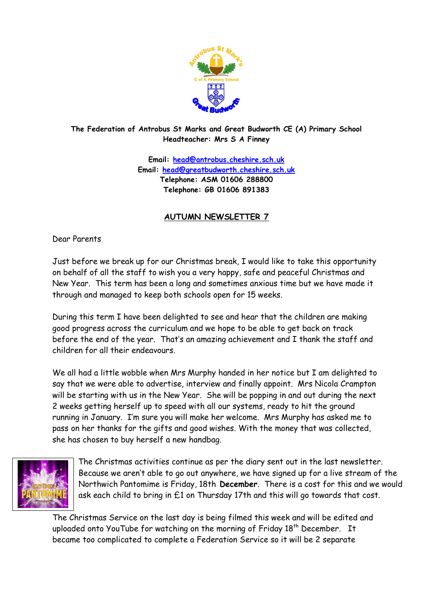

### **The Federation of Antrobus St Marks and Great Budworth CE (A) Primary School Headteacher: Mrs S A Finney**

**Email: [head@antrobus.cheshire.sch.uk](mailto:head@antrobus.cheshire.sch.uk) Email: [head@greatbudworth.cheshire.sch.uk](mailto:head@greatbudworth.cheshire.sch.uk) Telephone: ASM 01606 288800 Telephone: GB 01606 891383**

# **AUTUMN NEWSLETTER 7**

Dear Parents

Just before we break up for our Christmas break, I would like to take this opportunity on behalf of all the staff to wish you a very happy, safe and peaceful Christmas and New Year. This term has been a long and sometimes anxious time but we have made it through and managed to keep both schools open for 15 weeks.

During this term I have been delighted to see and hear that the children are making good progress across the curriculum and we hope to be able to get back on track before the end of the year. That's an amazing achievement and I thank the staff and children for all their endeavours.

We all had a little wobble when Mrs Murphy handed in her notice but I am delighted to say that we were able to advertise, interview and finally appoint. Mrs Nicola Crampton will be starting with us in the New Year. She will be popping in and out during the next 2 weeks getting herself up to speed with all our systems, ready to hit the ground running in January. I'm sure you will make her welcome. Mrs Murphy has asked me to pass on her thanks for the gifts and good wishes. With the money that was collected, she has chosen to buy herself a new handbag.



The Christmas activities continue as per the diary sent out in the last newsletter. Because we aren't able to go out anywhere, we have signed up for a live stream of the Northwich Pantomime is Friday, 18th **December**. There is a cost for this and we would ask each child to bring in £1 on Thursday 17th and this will go towards that cost.

The Christmas Service on the last day is being filmed this week and will be edited and uploaded onto YouTube for watching on the morning of Friday 18<sup>th</sup> December. It became too complicated to complete a Federation Service so it will be 2 separate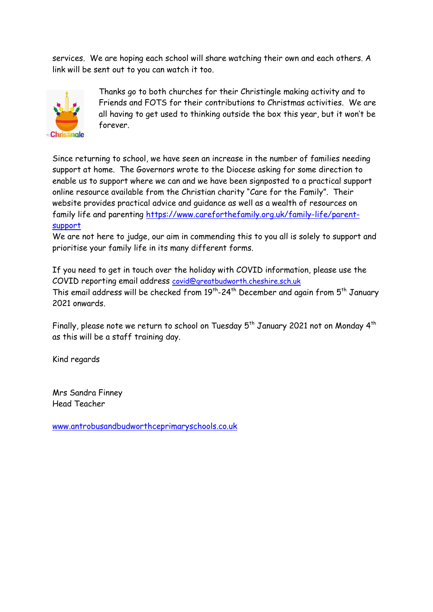services. We are hoping each school will share watching their own and each others. A link will be sent out to you can watch it too.



Thanks go to both churches for their Christingle making activity and to Friends and FOTS for their contributions to Christmas activities. We are all having to get used to thinking outside the box this year, but it won't be forever.

Since returning to school, we have seen an increase in the number of families needing support at home. The Governors wrote to the Diocese asking for some direction to enable us to support where we can and we have been signposted to a practical support online resource available from the Christian charity "Care for the Family". Their website provides practical advice and guidance as well as a wealth of resources on family life and parenting [https://www.careforthefamily.org.uk/family-life/parent](https://www.careforthefamily.org.uk/family-life/parent-support)[support](https://www.careforthefamily.org.uk/family-life/parent-support)

We are not here to judge, our aim in commending this to you all is solely to support and prioritise your family life in its many different forms.

If you need to get in touch over the holiday with COVID information, please use the COVID reporting email address [covid@greatbudworth.cheshire.sch.uk](mailto:covid@greatbudworth.cheshire.sch.uk)  This email address will be checked from  $19^{th}$ -24<sup>th</sup> December and again from  $5^{th}$  January 2021 onwards.

Finally, please note we return to school on Tuesday  $5^{th}$  January 2021 not on Monday  $4^{th}$ as this will be a staff training day.

Kind regards

Mrs Sandra Finney Head Teacher

[www.antrobusandbudworthceprimaryschools.co.uk](http://www.antrobusandbudworthceprimaryschools.co.uk/)